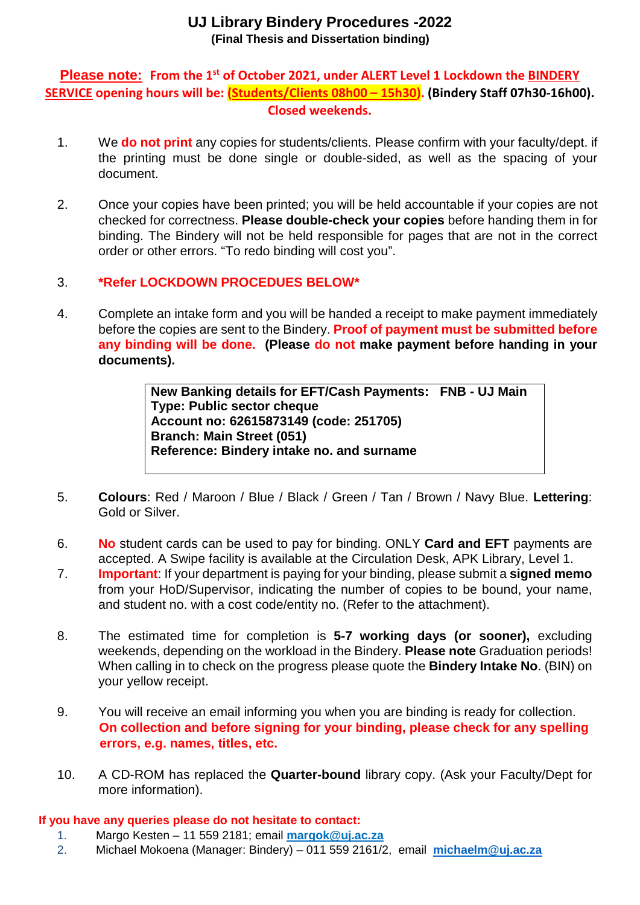# **UJ Library Bindery Procedures -2022 (Final Thesis and Dissertation binding)**

## **Please note: From the 1st of October 2021, under ALERT Level 1 Lockdown the BINDERY SERVICE opening hours will be: (Students/Clients 08h00 – 15h30). (Bindery Staff 07h30-16h00). Closed weekends.**

- 1. We **do not print** any copies for students/clients. Please confirm with your faculty/dept. if the printing must be done single or double-sided, as well as the spacing of your document.
- 2. Once your copies have been printed; you will be held accountable if your copies are not checked for correctness. **Please double-check your copies** before handing them in for binding. The Bindery will not be held responsible for pages that are not in the correct order or other errors. "To redo binding will cost you".

## 3. **\*Refer LOCKDOWN PROCEDUES BELOW\***

4. Complete an intake form and you will be handed a receipt to make payment immediately before the copies are sent to the Bindery. **Proof of payment must be submitted before any binding will be done. (Please do not make payment before handing in your documents).** 

> **New Banking details for EFT/Cash Payments: FNB - UJ Main Type: Public sector cheque Account no: 62615873149 (code: 251705) Branch: Main Street (051) Reference: Bindery intake no. and surname**

- 5. **Colours**: Red / Maroon / Blue / Black / Green / Tan / Brown / Navy Blue. **Lettering**: Gold or Silver.
- 6. **No** student cards can be used to pay for binding. ONLY **Card and EFT** payments are accepted. A Swipe facility is available at the Circulation Desk, APK Library, Level 1.
- 7. **Important**: If your department is paying for your binding, please submit a **signed memo** from your HoD/Supervisor, indicating the number of copies to be bound, your name, and student no. with a cost code/entity no. (Refer to the attachment).
- 8. The estimated time for completion is **5-7 working days (or sooner),** excluding weekends, depending on the workload in the Bindery. **Please note** Graduation periods! When calling in to check on the progress please quote the **Bindery Intake No**. (BIN) on your yellow receipt.
- 9. You will receive an email informing you when you are binding is ready for collection. **On collection and before signing for your binding, please check for any spelling errors, e.g. names, titles, etc.**
- 10. A CD-ROM has replaced the **Quarter-bound** library copy. (Ask your Faculty/Dept for more information).

### **If you have any queries please do not hesitate to contact:**

- 1. Margo Kesten 11 559 2181; email **margok@uj.ac.za**
- 2. Michael Mokoena (Manager: Bindery) 011 559 2161/2, email **michaelm@uj.ac.za**